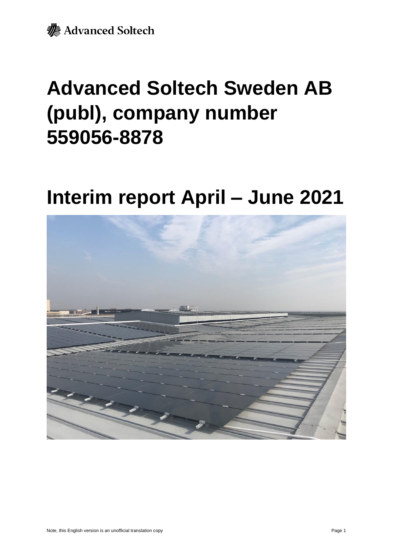

# **Advanced Soltech Sweden AB (publ), company number 559056-8878**

# **Interim report April – June 2021**

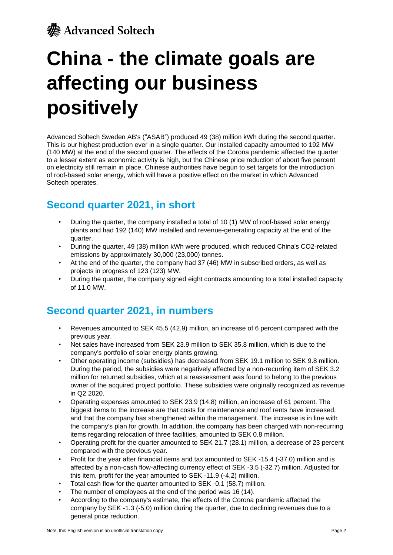# **China - the climate goals are affecting our business positively**

Advanced Soltech Sweden AB's ("ASAB") produced 49 (38) million kWh during the second quarter. This is our highest production ever in a single quarter. Our installed capacity amounted to 192 MW (140 MW) at the end of the second quarter. The effects of the Corona pandemic affected the quarter to a lesser extent as economic activity is high, but the Chinese price reduction of about five percent on electricity still remain in place. Chinese authorities have begun to set targets for the introduction of roof-based solar energy, which will have a positive effect on the market in which Advanced Soltech operates.

## **Second quarter 2021, in short**

- During the quarter, the company installed a total of 10 (1) MW of roof-based solar energy plants and had 192 (140) MW installed and revenue-generating capacity at the end of the quarter.
- During the quarter, 49 (38) million kWh were produced, which reduced China's CO2-related emissions by approximately 30,000 (23,000) tonnes.
- At the end of the quarter, the company had 37 (46) MW in subscribed orders, as well as projects in progress of 123 (123) MW.
- During the quarter, the company signed eight contracts amounting to a total installed capacity of 11.0 MW.

## **Second quarter 2021, in numbers**

- Revenues amounted to SEK 45.5 (42.9) million, an increase of 6 percent compared with the previous year.
- Net sales have increased from SEK 23.9 million to SEK 35.8 million, which is due to the company's portfolio of solar energy plants growing.
- Other operating income (subsidies) has decreased from SEK 19.1 million to SEK 9.8 million. During the period, the subsidies were negatively affected by a non-recurring item of SEK 3.2 million for returned subsidies, which at a reassessment was found to belong to the previous owner of the acquired project portfolio. These subsidies were originally recognized as revenue in Q2 2020.
- Operating expenses amounted to SEK 23.9 (14.8) million, an increase of 61 percent. The biggest items to the increase are that costs for maintenance and roof rents have increased, and that the company has strengthened within the management. The increase is in line with the company's plan for growth. In addition, the company has been charged with non-recurring items regarding relocation of three facilities, amounted to SEK 0.8 million.
- Operating profit for the quarter amounted to SEK 21.7 (28.1) million, a decrease of 23 percent compared with the previous year.
- Profit for the year after financial items and tax amounted to SEK -15.4 (-37.0) million and is affected by a non-cash flow-affecting currency effect of SEK -3.5 (-32.7) million. Adjusted for this item, profit for the year amounted to SEK -11.9 (-4.2) million.
- Total cash flow for the quarter amounted to SEK -0.1 (58.7) million.
- The number of employees at the end of the period was 16 (14).
- According to the company's estimate, the effects of the Corona pandemic affected the company by SEK -1.3 (-5.0) million during the quarter, due to declining revenues due to a general price reduction.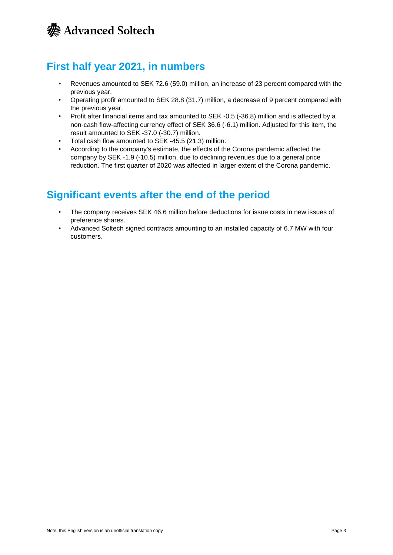## **First half year 2021, in numbers**

- Revenues amounted to SEK 72.6 (59.0) million, an increase of 23 percent compared with the previous year.
- Operating profit amounted to SEK 28.8 (31.7) million, a decrease of 9 percent compared with the previous year.
- Profit after financial items and tax amounted to SEK -0.5 (-36.8) million and is affected by a non-cash flow-affecting currency effect of SEK 36.6 (-6.1) million. Adjusted for this item, the result amounted to SEK -37.0 (-30.7) million.
- Total cash flow amounted to SEK -45.5 (21.3) million.
- According to the company's estimate, the effects of the Corona pandemic affected the company by SEK -1.9 (-10.5) million, due to declining revenues due to a general price reduction. The first quarter of 2020 was affected in larger extent of the Corona pandemic.

## **Significant events after the end of the period**

- The company receives SEK 46.6 million before deductions for issue costs in new issues of preference shares.
- Advanced Soltech signed contracts amounting to an installed capacity of 6.7 MW with four customers.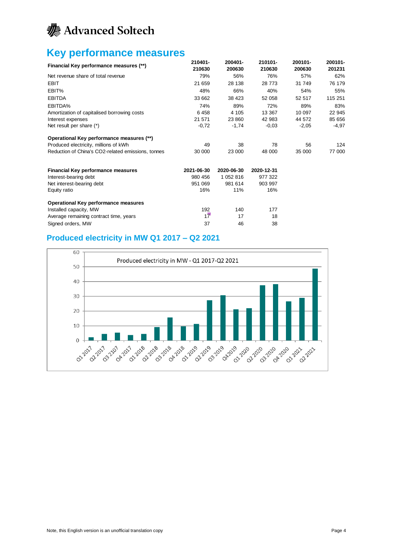

## **Key performance measures**

| Financial Key performance measures (**)            | 210401-<br>210630 | 200401-<br>200630 | 210101-<br>210630 | 200101-<br>200630 | 200101-<br>201231 |
|----------------------------------------------------|-------------------|-------------------|-------------------|-------------------|-------------------|
| Net revenue share of total revenue                 | 79%               | 56%               | 76%               | 57%               | 62%               |
| <b>EBIT</b>                                        | 21 659            | 28 138            | 28 773            | 31 749            | 76 179            |
| EBIT%                                              | 48%               | 66%               | 40%               | 54%               | 55%               |
| <b>EBITDA</b>                                      | 33 662            | 38 423            | 52 058            | 52 517            | 115 251           |
| EBITDA%                                            | 74%               | 89%               | 72%               | 89%               | 83%               |
| Amortization of capitalised borrowing costs        | 6458              | 4 1 0 5           | 13 3 67           | 10 097            | 22 945            |
| Interest expenses                                  | 21 571            | 23 860            | 42 983            | 44 572            | 85 656            |
| Net result per share (*)                           | $-0,72$           | $-1,74$           | $-0.03$           | $-2,05$           | -4,97             |
| Operational Key performance measures (**)          |                   |                   |                   |                   |                   |
| Produced electricity, millions of kWh              | 49                | 38                | 78                | 56                | 124               |
| Reduction of China's CO2-related emissions, tonnes | 30 000            | 23 000            | 48 000            | 35 000            | 77 000            |
| <b>Financial Key performance measures</b>          | 2021-06-30        | 2020-06-30        | 2020-12-31        |                   |                   |
| Interest-bearing debt                              | 980 456           | 1 052 816         | 977 322           |                   |                   |
| Net interest-bearing debt                          | 951 069           | 981 614           | 903 997           |                   |                   |
| Equity ratio                                       | 16%               | 11%               | 16%               |                   |                   |
| Operational Key performance measures               |                   |                   |                   |                   |                   |
| Installed capacity, MW                             | 192               | 140               | 177               |                   |                   |
| Average remaining contract time, years             | 17                | 17                | 18                |                   |                   |
| Signed orders, MW                                  | 37                | 46                | 38                |                   |                   |

### **Produced electricity in MW Q1 2017 – Q2 2021**

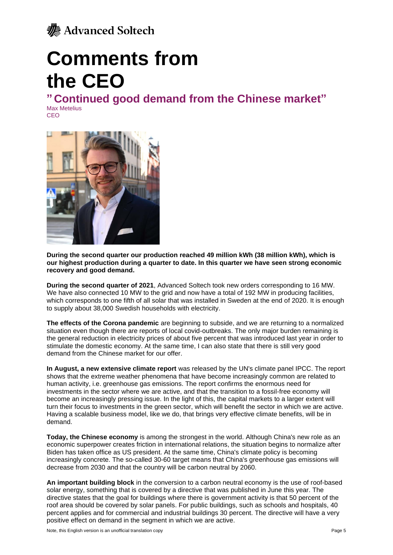

# **Comments from the CEO**

**" Continued good demand from the Chinese market"**

Max Metelius CEO



**During the second quarter our production reached 49 million kWh (38 million kWh), which is our highest production during a quarter to date. In this quarter we have seen strong economic recovery and good demand.**

**During the second quarter of 2021**, Advanced Soltech took new orders corresponding to 16 MW. We have also connected 10 MW to the grid and now have a total of 192 MW in producing facilities. which corresponds to one fifth of all solar that was installed in Sweden at the end of 2020. It is enough to supply about 38,000 Swedish households with electricity.

**The effects of the Corona pandemic** are beginning to subside, and we are returning to a normalized situation even though there are reports of local covid-outbreaks. The only major burden remaining is the general reduction in electricity prices of about five percent that was introduced last year in order to stimulate the domestic economy. At the same time, I can also state that there is still very good demand from the Chinese market for our offer.

**In August, a new extensive climate report** was released by the UN's climate panel IPCC. The report shows that the extreme weather phenomena that have become increasingly common are related to human activity, i.e. greenhouse gas emissions. The report confirms the enormous need for investments in the sector where we are active, and that the transition to a fossil-free economy will become an increasingly pressing issue. In the light of this, the capital markets to a larger extent will turn their focus to investments in the green sector, which will benefit the sector in which we are active. Having a scalable business model, like we do, that brings very effective climate benefits, will be in demand.

**Today, the Chinese economy** is among the strongest in the world. Although China's new role as an economic superpower creates friction in international relations, the situation begins to normalize after Biden has taken office as US president. At the same time, China's climate policy is becoming increasingly concrete. The so-called 30-60 target means that China's greenhouse gas emissions will decrease from 2030 and that the country will be carbon neutral by 2060.

**An important building block** in the conversion to a carbon neutral economy is the use of roof-based solar energy, something that is covered by a directive that was published in June this year. The directive states that the goal for buildings where there is government activity is that 50 percent of the roof area should be covered by solar panels. For public buildings, such as schools and hospitals, 40 percent applies and for commercial and industrial buildings 30 percent. The directive will have a very positive effect on demand in the segment in which we are active.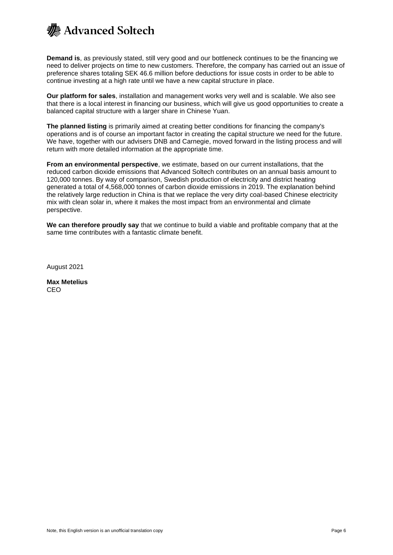

**Demand is**, as previously stated, still very good and our bottleneck continues to be the financing we need to deliver projects on time to new customers. Therefore, the company has carried out an issue of preference shares totaling SEK 46.6 million before deductions for issue costs in order to be able to continue investing at a high rate until we have a new capital structure in place.

**Our platform for sales**, installation and management works very well and is scalable. We also see that there is a local interest in financing our business, which will give us good opportunities to create a balanced capital structure with a larger share in Chinese Yuan.

**The planned listing** is primarily aimed at creating better conditions for financing the company's operations and is of course an important factor in creating the capital structure we need for the future. We have, together with our advisers DNB and Carnegie, moved forward in the listing process and will return with more detailed information at the appropriate time.

**From an environmental perspective**, we estimate, based on our current installations, that the reduced carbon dioxide emissions that Advanced Soltech contributes on an annual basis amount to 120,000 tonnes. By way of comparison, Swedish production of electricity and district heating generated a total of 4,568,000 tonnes of carbon dioxide emissions in 2019. The explanation behind the relatively large reduction in China is that we replace the very dirty coal-based Chinese electricity mix with clean solar in, where it makes the most impact from an environmental and climate perspective.

**We can therefore proudly say** that we continue to build a viable and profitable company that at the same time contributes with a fantastic climate benefit.

August 2021

**Max Metelius** CEO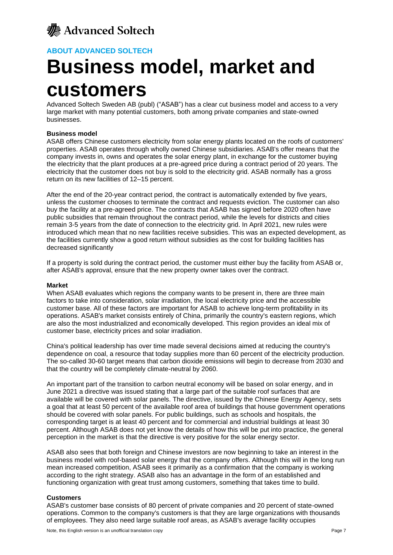### **ABOUT ADVANCED SOLTECH**

# **Business model, market and customers**

Advanced Soltech Sweden AB (publ) ("ASAB") has a clear cut business model and access to a very large market with many potential customers, both among private companies and state-owned businesses.

### **Business model**

ASAB offers Chinese customers electricity from solar energy plants located on the roofs of customers' properties. ASAB operates through wholly owned Chinese subsidiaries. ASAB's offer means that the company invests in, owns and operates the solar energy plant, in exchange for the customer buying the electricity that the plant produces at a pre-agreed price during a contract period of 20 years. The electricity that the customer does not buy is sold to the electricity grid. ASAB normally has a gross return on its new facilities of 12–15 percent.

After the end of the 20-year contract period, the contract is automatically extended by five years, unless the customer chooses to terminate the contract and requests eviction. The customer can also buy the facility at a pre-agreed price. The contracts that ASAB has signed before 2020 often have public subsidies that remain throughout the contract period, while the levels for districts and cities remain 3-5 years from the date of connection to the electricity grid. In April 2021, new rules were introduced which mean that no new facilities receive subsidies. This was an expected development, as the facilities currently show a good return without subsidies as the cost for building facilities has decreased significantly

If a property is sold during the contract period, the customer must either buy the facility from ASAB or, after ASAB's approval, ensure that the new property owner takes over the contract.

### **Market**

When ASAB evaluates which regions the company wants to be present in, there are three main factors to take into consideration, solar irradiation, the local electricity price and the accessible customer base. All of these factors are important for ASAB to achieve long-term profitability in its operations. ASAB's market consists entirely of China, primarily the country's eastern regions, which are also the most industrialized and economically developed. This region provides an ideal mix of customer base, electricity prices and solar irradiation.

China's political leadership has over time made several decisions aimed at reducing the country's dependence on coal, a resource that today supplies more than 60 percent of the electricity production. The so-called 30-60 target means that carbon dioxide emissions will begin to decrease from 2030 and that the country will be completely climate-neutral by 2060.

An important part of the transition to carbon neutral economy will be based on solar energy, and in June 2021 a directive was issued stating that a large part of the suitable roof surfaces that are available will be covered with solar panels. The directive, issued by the Chinese Energy Agency, sets a goal that at least 50 percent of the available roof area of buildings that house government operations should be covered with solar panels. For public buildings, such as schools and hospitals, the corresponding target is at least 40 percent and for commercial and industrial buildings at least 30 percent. Although ASAB does not yet know the details of how this will be put into practice, the general perception in the market is that the directive is very positive for the solar energy sector.

ASAB also sees that both foreign and Chinese investors are now beginning to take an interest in the business model with roof-based solar energy that the company offers. Although this will in the long run mean increased competition, ASAB sees it primarily as a confirmation that the company is working according to the right strategy. ASAB also has an advantage in the form of an established and functioning organization with great trust among customers, something that takes time to build.

### **Customers**

ASAB's customer base consists of 80 percent of private companies and 20 percent of state-owned operations. Common to the company's customers is that they are large organizations with thousands of employees. They also need large suitable roof areas, as ASAB's average facility occupies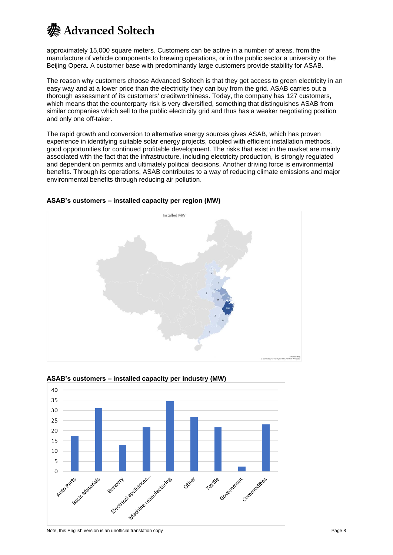approximately 15,000 square meters. Customers can be active in a number of areas, from the manufacture of vehicle components to brewing operations, or in the public sector a university or the Beijing Opera. A customer base with predominantly large customers provide stability for ASAB.

The reason why customers choose Advanced Soltech is that they get access to green electricity in an easy way and at a lower price than the electricity they can buy from the grid. ASAB carries out a thorough assessment of its customers' creditworthiness. Today, the company has 127 customers, which means that the counterparty risk is very diversified, something that distinguishes ASAB from similar companies which sell to the public electricity grid and thus has a weaker negotiating position and only one off-taker.

The rapid growth and conversion to alternative energy sources gives ASAB, which has proven experience in identifying suitable solar energy projects, coupled with efficient installation methods, good opportunities for continued profitable development. The risks that exist in the market are mainly associated with the fact that the infrastructure, including electricity production, is strongly regulated and dependent on permits and ultimately political decisions. Another driving force is environmental benefits. Through its operations, ASAB contributes to a way of reducing climate emissions and major environmental benefits through reducing air pollution.



### **ASAB's customers – installed capacity per region (MW)**



### **ASAB's customers – installed capacity per industry (MW)**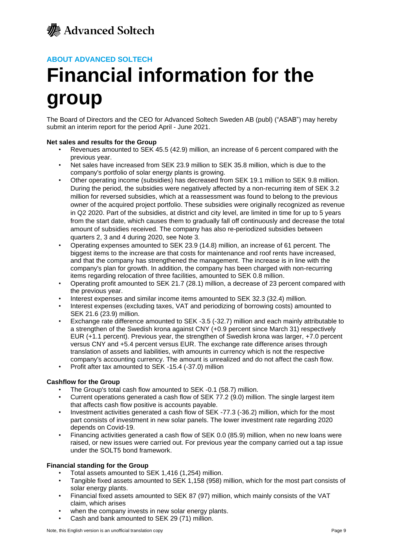

### **ABOUT ADVANCED SOLTECH**

# **Financial information for the group**

The Board of Directors and the CEO for Advanced Soltech Sweden AB (publ) ("ASAB") may hereby submit an interim report for the period April - June 2021.

### **Net sales and results for the Group**

- Revenues amounted to SEK 45.5 (42.9) million, an increase of 6 percent compared with the previous year.
- Net sales have increased from SEK 23.9 million to SEK 35.8 million, which is due to the company's portfolio of solar energy plants is growing.
- Other operating income (subsidies) has decreased from SEK 19.1 million to SEK 9.8 million. During the period, the subsidies were negatively affected by a non-recurring item of SEK 3.2 million for reversed subsidies, which at a reassessment was found to belong to the previous owner of the acquired project portfolio. These subsidies were originally recognized as revenue in Q2 2020. Part of the subsidies, at district and city level, are limited in time for up to 5 years from the start date, which causes them to gradually fall off continuously and decrease the total amount of subsidies received. The company has also re-periodized subsidies between quarters 2, 3 and 4 during 2020, see Note 3.
- Operating expenses amounted to SEK 23.9 (14.8) million, an increase of 61 percent. The biggest items to the increase are that costs for maintenance and roof rents have increased, and that the company has strengthened the management. The increase is in line with the company's plan for growth. In addition, the company has been charged with non-recurring items regarding relocation of three facilities, amounted to SEK 0.8 million.
- Operating profit amounted to SEK 21.7 (28.1) million, a decrease of 23 percent compared with the previous year.
- Interest expenses and similar income items amounted to SEK 32.3 (32.4) million.<br>• Interest expenses (excluding taxes, VAT and periodizing of borrowing costs) amount
- Interest expenses (excluding taxes, VAT and periodizing of borrowing costs) amounted to SEK 21.6 (23.9) million.
- Exchange rate difference amounted to SEK -3.5 (-32.7) million and each mainly attributable to a strengthen of the Swedish krona against CNY (+0.9 percent since March 31) respectively EUR (+1.1 percent). Previous year, the strengthen of Swedish krona was larger, +7.0 percent versus CNY and +5.4 percent versus EUR. The exchange rate difference arises through translation of assets and liabilities, with amounts in currency which is not the respective company's accounting currency. The amount is unrealized and do not affect the cash flow.
- Profit after tax amounted to SEK -15.4 (-37.0) million

### **Cashflow for the Group**

- The Group's total cash flow amounted to SEK -0.1 (58.7) million.
- Current operations generated a cash flow of SEK 77.2 (9.0) million. The single largest item that affects cash flow positive is accounts payable.
- Investment activities generated a cash flow of SEK -77.3 (-36.2) million, which for the most part consists of investment in new solar panels. The lower investment rate regarding 2020 depends on Covid-19.
- Financing activities generated a cash flow of SEK 0.0 (85.9) million, when no new loans were raised, or new issues were carried out. For previous year the company carried out a tap issue under the SOLT5 bond framework.

### **Financial standing for the Group**

- Total assets amounted to SEK 1,416 (1,254) million.
- Tangible fixed assets amounted to SEK 1,158 (958) million, which for the most part consists of solar energy plants.
- Financial fixed assets amounted to SEK 87 (97) million, which mainly consists of the VAT claim, which arises
- when the company invests in new solar energy plants.
- Cash and bank amounted to SEK 29 (71) million.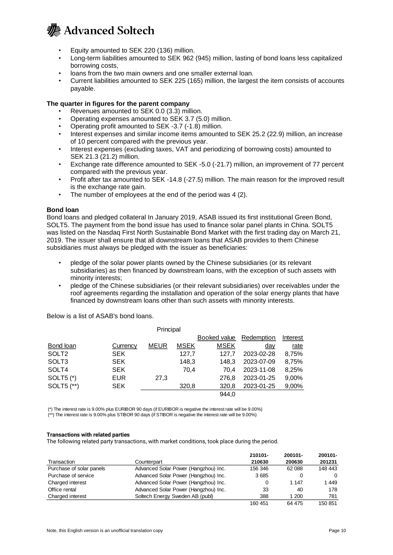

- Equity amounted to SEK 220 (136) million.
- Long-term liabilities amounted to SEK 962 (945) million, lasting of bond loans less capitalized borrowing costs,
- loans from the two main owners and one smaller external loan.
- Current liabilities amounted to SEK 225 (165) million, the largest the item consists of accounts payable.

### **The quarter in figures for the parent company**

- Revenues amounted to SEK 0.0 (3.3) million.
- Operating expenses amounted to SEK 3.7 (5.0) million.
- Operating profit amounted to SEK -3.7 (-1.8) million.
- Interest expenses and similar income items amounted to SEK 25.2 (22.9) million, an increase of 10 percent compared with the previous year.
- Interest expenses (excluding taxes, VAT and periodizing of borrowing costs) amounted to SEK 21.3 (21.2) million.
- Exchange rate difference amounted to SEK -5.0 (-21.7) million, an improvement of 77 percent compared with the previous year.
- Profit after tax amounted to SEK -14.8 (-27.5) million. The main reason for the improved result is the exchange rate gain.
- The number of employees at the end of the period was 4 (2).

### **Bond loan**

Bond loans and pledged collateral In January 2019, ASAB issued its first institutional Green Bond, SOLT5. The payment from the bond issue has used to finance solar panel plants in China. SOLT5 was listed on the Nasdaq First North Sustainable Bond Market with the first trading day on March 21, 2019. The issuer shall ensure that all downstream loans that ASAB provides to them Chinese subsidiaries must always be pledged with the issuer as beneficiaries:

- pledge of the solar power plants owned by the Chinese subsidiaries (or its relevant subsidiaries) as then financed by downstream loans, with the exception of such assets with minority interests;
- pledge of the Chinese subsidiaries (or their relevant subsidiaries) over receivables under the roof agreements regarding the installation and operation of the solar energy plants that have financed by downstream loans other than such assets with minority interests.

Bond loan Currency MEUR MSEK Booked value Redemption MSEK day Interest rate SOLT2 SEK 127,7 127,7 2023-02-28 8,75% SOLT3 SEK 148,3 148,3 2023-07-09 8,75% SOLT4 SEK 70,4 70,4 2023-11-08 8,25% SOLT5 (\*) EUR 27,3 276,8 2023-01-25 9,00% SOLT5 (\*\*) SEK 320,8 320,8 2023-01-25 9,00% 944,0 Principal

Below is a list of ASAB's bond loans.

(\*) The interest rate is 9.00% plus EURIBOR 90 days (if EURIBOR is negative the interest rate will be 9.00%) (\*\*) The interest rate is 9.00% plus STIBOR 90 days (if STIBOR is negative the interest rate will be 9.00%)

#### **Transactions with related parties**

The following related party transactions, with market conditions, took place during the period.

|                          |                                      | 210101- | 200101- | 200101- |
|--------------------------|--------------------------------------|---------|---------|---------|
| Transaction              | Counterpart                          | 210630  | 200630  | 201231  |
| Purchase of solar panels | Advanced Solar Power (Hangzhou) Inc. | 156 346 | 62 088  | 148 443 |
| Purchase of service      | Advanced Solar Power (Hangzhou) Inc. | 3685    |         | 0       |
| Charged interest         | Advanced Solar Power (Hangzhou) Inc. | 0       | 1 147   | 1449    |
| Office rental            | Advanced Solar Power (Hangzhou) Inc. | 33      | 40      | 178     |
| Charged interest         | Soltech Energy Sweden AB (publ)      | 388     | 1 200   | 781     |
|                          |                                      | 160 451 | 64 475  | 150 851 |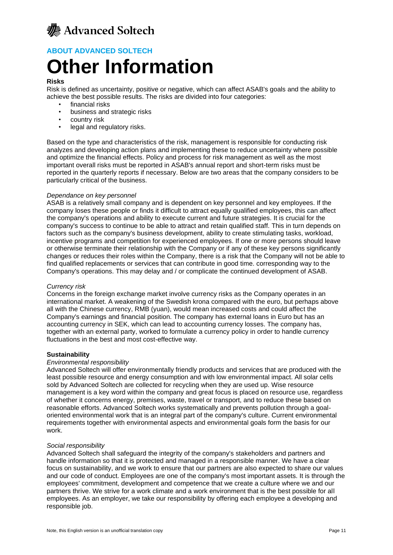

### **ABOUT ADVANCED SOLTECH**

# **Other Information**

### **Risks**

Risk is defined as uncertainty, positive or negative, which can affect ASAB's goals and the ability to achieve the best possible results. The risks are divided into four categories:

- financial risks
- business and strategic risks
- country risk
- legal and regulatory risks.

Based on the type and characteristics of the risk, management is responsible for conducting risk analyzes and developing action plans and implementing these to reduce uncertainty where possible and optimize the financial effects. Policy and process for risk management as well as the most important overall risks must be reported in ASAB's annual report and short-term risks must be reported in the quarterly reports if necessary. Below are two areas that the company considers to be particularly critical of the business.

### *Dependance on key personnel*

ASAB is a relatively small company and is dependent on key personnel and key employees. If the company loses these people or finds it difficult to attract equally qualified employees, this can affect the company's operations and ability to execute current and future strategies. It is crucial for the company's success to continue to be able to attract and retain qualified staff. This in turn depends on factors such as the company's business development, ability to create stimulating tasks, workload, incentive programs and competition for experienced employees. If one or more persons should leave or otherwise terminate their relationship with the Company or if any of these key persons significantly changes or reduces their roles within the Company, there is a risk that the Company will not be able to find qualified replacements or services that can contribute in good time. corresponding way to the Company's operations. This may delay and / or complicate the continued development of ASAB.

### *Currency risk*

Concerns in the foreign exchange market involve currency risks as the Company operates in an international market. A weakening of the Swedish krona compared with the euro, but perhaps above all with the Chinese currency, RMB (yuan), would mean increased costs and could affect the Company's earnings and financial position. The company has external loans in Euro but has an accounting currency in SEK, which can lead to accounting currency losses. The company has, together with an external party, worked to formulate a currency policy in order to handle currency fluctuations in the best and most cost-effective way.

### **Sustainability**

### *Environmental responsibility*

Advanced Soltech will offer environmentally friendly products and services that are produced with the least possible resource and energy consumption and with low environmental impact. All solar cells sold by Advanced Soltech are collected for recycling when they are used up. Wise resource management is a key word within the company and great focus is placed on resource use, regardless of whether it concerns energy, premises, waste, travel or transport, and to reduce these based on reasonable efforts. Advanced Soltech works systematically and prevents pollution through a goaloriented environmental work that is an integral part of the company's culture. Current environmental requirements together with environmental aspects and environmental goals form the basis for our work.

### *Social responsibility*

Advanced Soltech shall safeguard the integrity of the company's stakeholders and partners and handle information so that it is protected and managed in a responsible manner. We have a clear focus on sustainability, and we work to ensure that our partners are also expected to share our values and our code of conduct. Employees are one of the company's most important assets. It is through the employees' commitment, development and competence that we create a culture where we and our partners thrive. We strive for a work climate and a work environment that is the best possible for all employees. As an employer, we take our responsibility by offering each employee a developing and responsible job.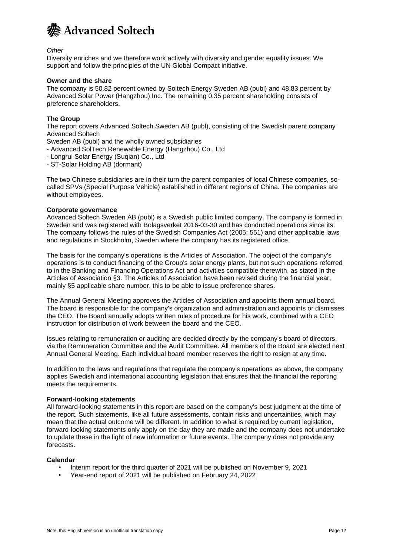

*Other*

Diversity enriches and we therefore work actively with diversity and gender equality issues. We support and follow the principles of the UN Global Compact initiative.

### **Owner and the share**

The company is 50.82 percent owned by Soltech Energy Sweden AB (publ) and 48.83 percent by Advanced Solar Power (Hangzhou) Inc. The remaining 0.35 percent shareholding consists of preference shareholders.

### **The Group**

The report covers Advanced Soltech Sweden AB (publ), consisting of the Swedish parent company Advanced Soltech

Sweden AB (publ) and the wholly owned subsidiaries

- Advanced SolTech Renewable Energy (Hangzhou) Co., Ltd
- Longrui Solar Energy (Suqian) Co., Ltd
- ST-Solar Holding AB (dormant)

The two Chinese subsidiaries are in their turn the parent companies of local Chinese companies, socalled SPVs (Special Purpose Vehicle) established in different regions of China. The companies are without employees.

### **Corporate governance**

Advanced Soltech Sweden AB (publ) is a Swedish public limited company. The company is formed in Sweden and was registered with Bolagsverket 2016-03-30 and has conducted operations since its. The company follows the rules of the Swedish Companies Act (2005: 551) and other applicable laws and regulations in Stockholm, Sweden where the company has its registered office.

The basis for the company's operations is the Articles of Association. The object of the company's operations is to conduct financing of the Group's solar energy plants, but not such operations referred to in the Banking and Financing Operations Act and activities compatible therewith, as stated in the Articles of Association §3. The Articles of Association have been revised during the financial year, mainly §5 applicable share number, this to be able to issue preference shares.

The Annual General Meeting approves the Articles of Association and appoints them annual board. The board is responsible for the company's organization and administration and appoints or dismisses the CEO. The Board annually adopts written rules of procedure for his work, combined with a CEO instruction for distribution of work between the board and the CEO.

Issues relating to remuneration or auditing are decided directly by the company's board of directors, via the Remuneration Committee and the Audit Committee. All members of the Board are elected next Annual General Meeting. Each individual board member reserves the right to resign at any time.

In addition to the laws and regulations that regulate the company's operations as above, the company applies Swedish and international accounting legislation that ensures that the financial the reporting meets the requirements.

#### **Forward-looking statements**

All forward-looking statements in this report are based on the company's best judgment at the time of the report. Such statements, like all future assessments, contain risks and uncertainties, which may mean that the actual outcome will be different. In addition to what is required by current legislation, forward-looking statements only apply on the day they are made and the company does not undertake to update these in the light of new information or future events. The company does not provide any forecasts.

### **Calendar**

- Interim report for the third quarter of 2021 will be published on November 9, 2021
- Year-end report of 2021 will be published on February 24, 2022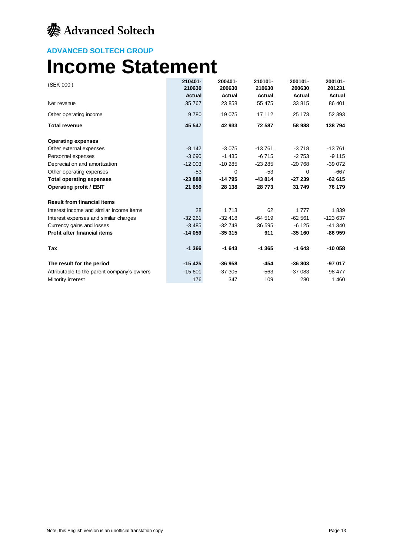### **ADVANCED SOLTECH GROUP**

## **Income Statement**

| (SEK 000')                                  | 210401-<br>210630 | 200401-<br>200630 | 210101-<br>210630 | 200101-<br>200630 | 200101-<br>201231 |
|---------------------------------------------|-------------------|-------------------|-------------------|-------------------|-------------------|
|                                             | <b>Actual</b>     | <b>Actual</b>     | Actual            | Actual            | Actual            |
| Net revenue                                 | 35 767            | 23 858            | 55 475            | 33 815            | 86 401            |
| Other operating income                      | 9 7 8 0           | 19 0 75           | 17 112            | 25 173            | 52 393            |
| <b>Total revenue</b>                        | 45 547            | 42 933            | 72 587            | 58 988            | 138 794           |
| <b>Operating expenses</b>                   |                   |                   |                   |                   |                   |
| Other external expenses                     | $-8142$           | $-3075$           | $-13761$          | $-3718$           | $-13761$          |
| Personnel expenses                          | $-3690$           | $-1435$           | $-6715$           | $-2753$           | $-9115$           |
| Depreciation and amortization               | $-12003$          | $-10285$          | $-23285$          | $-20768$          | $-39072$          |
| Other operating expenses                    | $-53$             | 0                 | $-53$             | $\Omega$          | $-667$            |
| <b>Total operating expenses</b>             | $-23888$          | -14 795           | $-43814$          | $-27239$          | $-62615$          |
| <b>Operating profit / EBIT</b>              | 21 659            | 28 138            | 28 773            | 31 749            | 76 179            |
| <b>Result from financial items</b>          |                   |                   |                   |                   |                   |
| Interest income and similar income items    | 28                | 1 7 1 3           | 62                | 1777              | 1839              |
| Interest expenses and similar charges       | $-32261$          | $-32418$          | $-64519$          | $-62561$          | $-123637$         |
| Currency gains and losses                   | $-3485$           | $-32748$          | 36 595            | $-6125$           | $-41340$          |
| <b>Profit after financial items</b>         | $-14059$          | $-35315$          | 911               | $-35160$          | $-86959$          |
| Tax                                         | $-1.366$          | $-1643$           | $-1.365$          | $-1643$           | $-10058$          |
| The result for the period                   | $-15425$          | $-36958$          | -454              | $-36803$          | -97 017           |
| Attributable to the parent company's owners | $-15601$          | $-37305$          | $-563$            | $-37083$          | $-98477$          |
| Minority interest                           | 176               | 347               | 109               | 280               | 1 4 6 0           |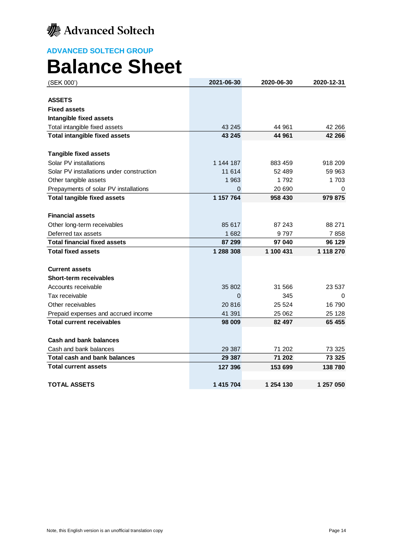

## **Balance Sheet**

| (SEK 000')                                | 2021-06-30 | 2020-06-30 | 2020-12-31 |
|-------------------------------------------|------------|------------|------------|
|                                           |            |            |            |
| <b>ASSETS</b>                             |            |            |            |
| <b>Fixed assets</b>                       |            |            |            |
| Intangible fixed assets                   |            |            |            |
| Total intangible fixed assets             | 43 245     | 44 961     | 42 266     |
| <b>Total intangible fixed assets</b>      | 43 245     | 44 961     | 42 266     |
| <b>Tangible fixed assets</b>              |            |            |            |
| Solar PV installations                    | 1 144 187  | 883 459    | 918 209    |
| Solar PV installations under construction | 11 614     | 52 489     | 59 963     |
| Other tangible assets                     | 1 963      | 1792       | 1703       |
| Prepayments of solar PV installations     | $\Omega$   | 20 690     | 0          |
| <b>Total tangible fixed assets</b>        | 1 157 764  | 958 430    | 979 875    |
|                                           |            |            |            |
| <b>Financial assets</b>                   |            |            |            |
| Other long-term receivables               | 85 617     | 87 243     | 88 271     |
| Deferred tax assets                       | 1682       | 9 797      | 7858       |
| <b>Total financial fixed assets</b>       | 87 299     | 97 040     | 96 129     |
| <b>Total fixed assets</b>                 | 1 288 308  | 1 100 431  | 1 118 270  |
|                                           |            |            |            |
| <b>Current assets</b>                     |            |            |            |
| <b>Short-term receivables</b>             |            |            |            |
| Accounts receivable                       | 35 802     | 31 566     | 23 537     |
| Tax receivable                            | $\Omega$   | 345        | 0          |
| Other receivables                         | 20 816     | 25 5 24    | 16 790     |
| Prepaid expenses and accrued income       | 41 391     | 25 062     | 25 1 28    |
| <b>Total current receivables</b>          | 98 009     | 82 497     | 65 455     |
|                                           |            |            |            |
| <b>Cash and bank balances</b>             |            |            |            |
| Cash and bank balances                    | 29 387     | 71 202     | 73 325     |
| Total cash and bank balances              | 29 387     | 71 202     | 73 325     |
| <b>Total current assets</b>               | 127 396    | 153 699    | 138 780    |
| <b>TOTAL ASSETS</b>                       | 1 415 704  | 1 254 130  | 1 257 050  |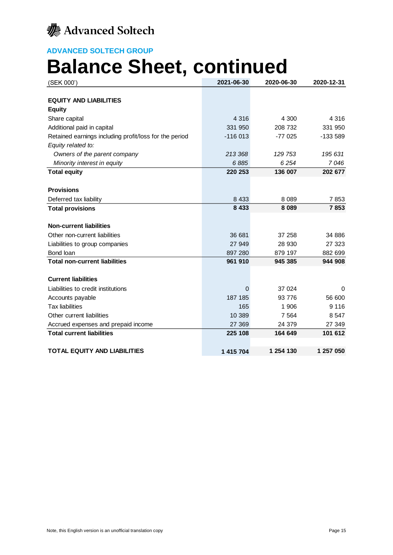

# **Balance Sheet, continued**

| (SEK 000')                                             | 2021-06-30 | 2020-06-30 | 2020-12-31 |
|--------------------------------------------------------|------------|------------|------------|
|                                                        |            |            |            |
| <b>EQUITY AND LIABILITIES</b>                          |            |            |            |
| <b>Equity</b>                                          |            |            |            |
| Share capital                                          | 4 3 1 6    | 4 300      | 4 3 1 6    |
| Additional paid in capital                             | 331 950    | 208 732    | 331 950    |
| Retained earnings including profit/loss for the period | $-116013$  | $-77025$   | -133 589   |
| Equity related to:                                     |            |            |            |
| Owners of the parent company                           | 213 368    | 129 753    | 195 631    |
| Minority interest in equity                            | 6885       | 6254       | 7046       |
| <b>Total equity</b>                                    | 220 253    | 136 007    | 202 677    |
|                                                        |            |            |            |
| <b>Provisions</b>                                      |            |            |            |
| Deferred tax liability                                 | 8 4 3 3    | 8 0 8 9    | 7853       |
| <b>Total provisions</b>                                | 8 4 3 3    | 8 0 8 9    | 7853       |
|                                                        |            |            |            |
| <b>Non-current liabilities</b>                         |            |            |            |
| Other non-current liabilities                          | 36 681     | 37 258     | 34 886     |
| Liabilities to group companies                         | 27 949     | 28 930     | 27 323     |
| Bond loan                                              | 897 280    | 879 197    | 882 699    |
| <b>Total non-current liabilities</b>                   | 961 910    | 945 385    | 944 908    |
|                                                        |            |            |            |
| <b>Current liabilities</b>                             |            |            |            |
| Liabilities to credit institutions                     | 0          | 37 0 24    | 0          |
| Accounts payable                                       | 187 185    | 93 776     | 56 600     |
| <b>Tax liabilities</b>                                 | 165        | 1 906      | 9 1 1 6    |
| Other current liabilities                              | 10 389     | 7 5 6 4    | 8547       |
| Accrued expenses and prepaid income                    | 27 369     | 24 379     | 27 349     |
| <b>Total current liabilities</b>                       | 225 108    | 164 649    | 101 612    |
|                                                        |            |            |            |
| <b>TOTAL EQUITY AND LIABILITIES</b>                    | 1 415 704  | 1 254 130  | 1 257 050  |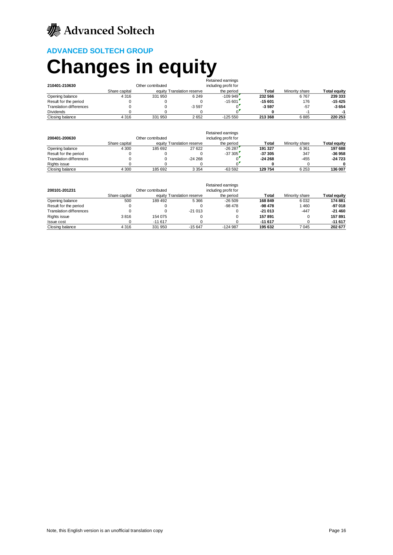## **ADVANCED SOLTECH GROUP**

# **Changes in equity**

|                                |               |                   |                            | Retained earnings    |          |                |                     |
|--------------------------------|---------------|-------------------|----------------------------|----------------------|----------|----------------|---------------------|
| 210401-210630                  |               | Other contributed |                            | including profit for |          |                |                     |
|                                | Share capital |                   | equity Translation reserve | the period           | Total    | Minority share | <b>Total equity</b> |
| Opening balance                | 4 3 1 6       | 331 950           | 6 2 4 9                    | $-109.949$           | 232 566  | 6767           | 239 333             |
| Result for the period          |               |                   |                            | $-15601$             | $-15601$ | 176            | -15 425             |
| <b>Translation differences</b> |               |                   | $-3597$                    |                      | $-3597$  | $-57$          | $-3654$             |
| <b>Dividends</b>               |               |                   |                            |                      |          |                |                     |
| Closing balance                | 4 3 1 6       | 331 950           | 2652                       | $-125550$            | 213 368  | 6885           | 220 253             |

| 200401-200630                  |               | Other contributed |                            | Retained earnings<br>including profit for |          |                |                     |
|--------------------------------|---------------|-------------------|----------------------------|-------------------------------------------|----------|----------------|---------------------|
|                                | Share capital |                   | equity Translation reserve | the period                                | Total    | Minority share | <b>Total equity</b> |
| Opening balance                | 4 3 0 0       | 185 692           | 27 622                     | $-26287$                                  | 191 327  | 6 3 6 1        | 197 688             |
| Result for the period          |               |                   |                            | $-37.305$                                 | $-37305$ | 347            | $-36958$            |
| <b>Translation differences</b> |               |                   | $-24268$                   |                                           | $-24268$ | $-455$         | $-24723$            |
| Rights issue                   |               |                   |                            |                                           |          |                |                     |
| Closing balance                | 4 300         | 185 692           | 3 3 5 4                    | -63 592                                   | 129 754  | 6 2 5 3        | 136 007             |

|                                |               |                   |                            | Retained earnings    |          |                |                     |
|--------------------------------|---------------|-------------------|----------------------------|----------------------|----------|----------------|---------------------|
| 200101-201231                  |               | Other contributed |                            | including profit for |          |                |                     |
|                                | Share capital |                   | equity Translation reserve | the period           | Total    | Minority share | <b>Total equity</b> |
| Opening balance                | 500           | 189 492           | 5 3 6 6                    | $-26509$             | 168 849  | 6 0 3 2        | 174 881             |
| Result for the period          |               |                   |                            | -98 478              | -98 478  | 1460           | -97 018             |
| <b>Translation differences</b> |               |                   | $-21013$                   |                      | $-21013$ | $-447$         | $-21460$            |
| Rights issue                   | 3816          | 154 075           |                            |                      | 157 891  |                | 157891              |
| Issue cost                     |               | $-11617$          |                            |                      | $-11617$ |                | $-11617$            |
| Closing balance                | 4 3 1 6       | 331 950           | $-15647$                   | $-124.987$           | 195 632  | 7 0 45         | 202 677             |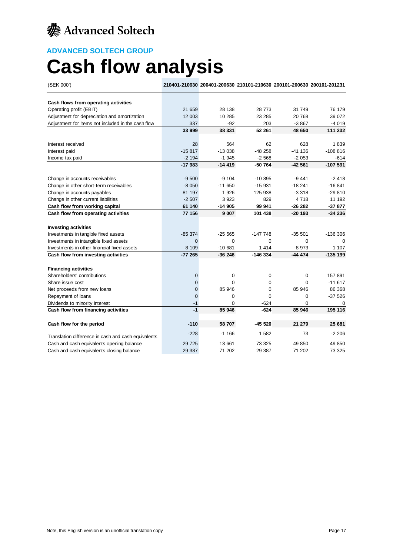

## **ADVANCED SOLTECH GROUP Cash flow analysis**

(SEK 000') **210401-210630 200401-200630 210101-210630 200101-200630 200101-201231 Cash flows from operating activities** Operating profit (EBIT) 21 659 28 138 28 773 31 749 76 179 Adjustment for depreciation and amortization 12 003 10 285 23 285 20 768 39 072 Adjustment for items not included in the cash flow 337 -92 203 -3 867 -4 019 **33 999 38 331 52 261 48 650 111 232** Interest received 28 564 62 628 1 839 Interest paid -15 817 -13 038 -48 258 -41 136 -108 816 Income tax paid **12 053** -2 194 -2 194 -2 194 -2 1945 -2 1945 -2 1946 -2 1946 -2 1958 -2 053 **-17 983 -14 419 -50 764 -42 561 -107 591** Change in accounts receivables **change in accounts receivables**  $-9\ 500$   $-9\ 104$   $-10\ 895$   $-9\ 441$   $-2\ 418$ Change in other short-term receivables -8 050 -11 650 -15 931 -18 241 -16 841 Change in accounts payables 81 197 1 926 125 938 -3 318 -29 810 Change in other current liabilities 11 192<br>
Cash flow from working capital 192<br>
Cash flow from working capital 192<br>
26 393<br>
26 399 44<br>
26 282<br>
37 877 **Cash flow from working capital 61 140 -14 905 99 941 -26 282 -37 877 Cash flow from operating activities 77 156 9 007 101 438 -20 193 -34 236 Investing activities** Investments in tangible fixed assets -85 374 -25 565 -147 748 -35 501 -136 306 Investments in intangible fixed assets 0 0 0 0 0 Investments in other financial fixed assets 8 109 10 681 1 414 -8 973 1107 **Cash flow from investing activities -77 265 -36 246 -146 334 -44 474 -135 199 Financing activities** Shareholders' contributions and the contributions of the contributions of the contributions of the contributions of the contributions of the contributions of the contributions of the contributions of the contributions of t Share issue cost **11 617** 0 0 0 0 0 -11 617 Net proceeds from new loans 0 85 946 0 85 946 86 368 Repayment of loans and the contract of loans of the contract of loans of the contract of the contract of the contract of the contract of the contract of the contract of the contract of the contract of the contract of the c

Dividends to minority interest and the control of the control of the control of the control of the control of the control of the control of the control of the control of the control of the control of the control of the con **Cash flow from financing activities -1 85 946 -624 85 946 195 116**

**Cash flow for the period -110 58 707 -45 520 21 279 25 681** Translation difference in cash and cash equivalents -228 -1 166 1 582 73 -2 206 Cash and cash equivalents opening balance 29 725 13 661 73 325 49 850 49 850 Cash and cash equivalents closing balance 29 387 71 202 29 387 71 202 73 325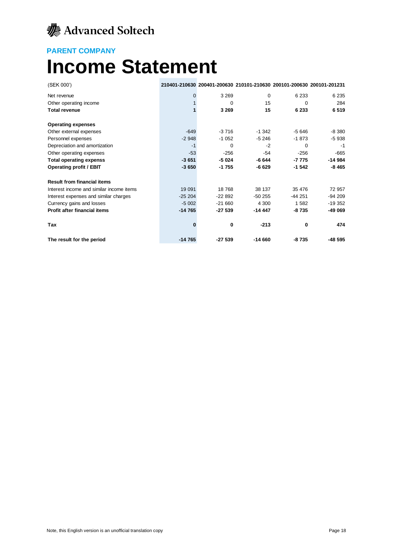

## **PARENT COMPANY Income Statement**

| (SEK 000')                               |          | 210401-210630 200401-200630 210101-210630 200101-200630 200101-201231 |          |          |          |
|------------------------------------------|----------|-----------------------------------------------------------------------|----------|----------|----------|
| Net revenue                              | $\Omega$ | 3 2 6 9                                                               | $\Omega$ | 6 2 3 3  | 6 2 3 5  |
| Other operating income                   |          | 0                                                                     | 15       | $\Omega$ | 284      |
| <b>Total revenue</b>                     |          | 3 2 6 9                                                               | 15       | 6 2 3 3  | 6519     |
| <b>Operating expenses</b>                |          |                                                                       |          |          |          |
| Other external expenses                  | $-649$   | $-3716$                                                               | $-1342$  | $-5646$  | $-8380$  |
| Personnel expenses                       | $-2948$  | $-1052$                                                               | $-5246$  | $-1873$  | $-5938$  |
| Depreciation and amortization            | $-1$     | 0                                                                     | $-2$     | $\Omega$ | -1       |
| Other operating expenses                 | $-53$    | $-256$                                                                | -54      | $-256$   | $-665$   |
| <b>Total operating expenss</b>           | $-3651$  | $-5024$                                                               | $-6644$  | $-7775$  | $-14984$ |
| <b>Operating profit / EBIT</b>           | $-3650$  | $-1755$                                                               | $-6629$  | $-1542$  | $-8465$  |
| <b>Result from financial items</b>       |          |                                                                       |          |          |          |
| Interest income and similar income items | 19 091   | 18768                                                                 | 38 137   | 35 476   | 72 957   |
| Interest expenses and similar charges    | $-25204$ | $-22892$                                                              | $-50255$ | $-44251$ | $-94209$ |
| Currency gains and losses                | $-5002$  | $-21660$                                                              | 4 300    | 1582     | $-19352$ |
| <b>Profit after financial items</b>      | $-14765$ | $-27539$                                                              | $-14447$ | -8735    | -49 069  |
| Tax                                      |          | 0                                                                     | $-213$   | 0        | 474      |
| The result for the period                | $-14765$ | $-27539$                                                              | $-14660$ | $-8735$  | $-48595$ |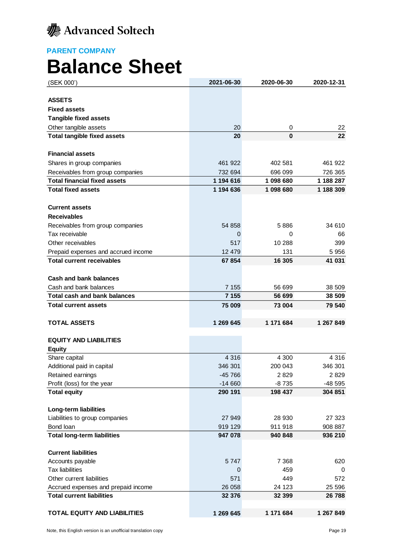

**PARENT COMPANY Balance Sheet**

| (SEK 000')                          | 2021-06-30 | 2020-06-30 | 2020-12-31 |
|-------------------------------------|------------|------------|------------|
|                                     |            |            |            |
| <b>ASSETS</b>                       |            |            |            |
| <b>Fixed assets</b>                 |            |            |            |
| <b>Tangible fixed assets</b>        |            |            |            |
| Other tangible assets               | 20         | 0          | 22         |
| <b>Total tangible fixed assets</b>  | 20         | $\bf{0}$   | 22         |
| <b>Financial assets</b>             |            |            |            |
| Shares in group companies           | 461 922    | 402 581    | 461 922    |
| Receivables from group companies    | 732 694    | 696 099    | 726 365    |
| <b>Total financial fixed assets</b> | 1 194 616  | 1 098 680  | 1 188 287  |
| <b>Total fixed assets</b>           | 1 194 636  |            |            |
|                                     |            | 1 098 680  | 1 188 309  |
| <b>Current assets</b>               |            |            |            |
| <b>Receivables</b>                  |            |            |            |
| Receivables from group companies    | 54 858     | 5886       | 34 610     |
| Tax receivable                      | 0          | 0          | 66         |
| Other receivables                   | 517        | 10 288     | 399        |
| Prepaid expenses and accrued income | 12 479     | 131        | 5 9 5 6    |
| <b>Total current receivables</b>    | 67 854     | 16 305     | 41 031     |
|                                     |            |            |            |
| <b>Cash and bank balances</b>       |            |            |            |
| Cash and bank balances              | 7 1 5 5    | 56 699     | 38 509     |
| <b>Total cash and bank balances</b> | 7 1 5 5    | 56 699     | 38 509     |
| <b>Total current assets</b>         | 75 009     | 73 004     | 79 540     |
| <b>TOTAL ASSETS</b>                 | 1 269 645  | 1 171 684  | 1 267 849  |
|                                     |            |            |            |
| <b>EQUITY AND LIABILITIES</b>       |            |            |            |
| <b>Equity</b>                       |            |            |            |
| Share capital                       | 4 3 1 6    | 4 300      | 4 3 1 6    |
| Additional paid in capital          | 346 301    | 200 043    | 346 301    |
| Retained earnings                   | -45 766    | 2829       | 2829       |
| Profit (loss) for the year          | $-14660$   | $-8735$    | -48 595    |
| <b>Total equity</b>                 | 290 191    | 198 437    | 304 851    |
| Long-term liabilities               |            |            |            |
| Liabilities to group companies      | 27 949     | 28 930     | 27 323     |
| Bond loan                           | 919 129    | 911 918    | 908 887    |
| <b>Total long-term liabilities</b>  | 947 078    | 940 848    | 936 210    |
|                                     |            |            |            |
| <b>Current liabilities</b>          |            |            |            |
| Accounts payable                    | 5747       | 7 3 6 8    | 620        |
| <b>Tax liabilities</b>              | 0          | 459        | 0          |
| Other current liabilities           | 571        | 449        | 572        |
| Accrued expenses and prepaid income | 26 058     | 24 123     | 25 596     |
| <b>Total current liabilities</b>    | 32 376     | 32 399     | 26 788     |
|                                     |            |            |            |
| <b>TOTAL EQUITY AND LIABILITIES</b> | 1 269 645  | 1 171 684  | 1 267 849  |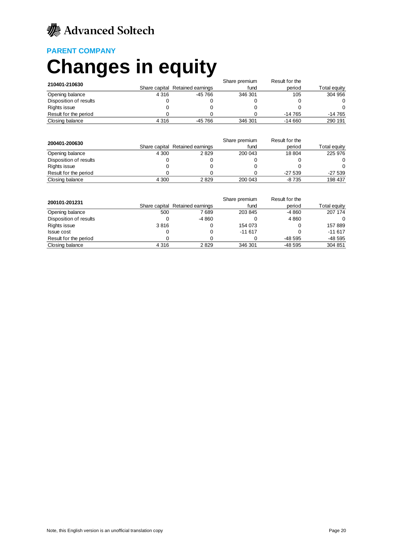### **PARENT COMPANY**

# **Changes in equity**

| 210401-210630          |         | Result for the<br>Share premium |         |          |              |  |  |
|------------------------|---------|---------------------------------|---------|----------|--------------|--|--|
|                        |         | Share capital Retained earnings | fund    | period   | Total equity |  |  |
| Opening balance        | 4 3 1 6 | -45 766                         | 346 301 | 105      | 304 956      |  |  |
| Disposition of results |         |                                 |         |          | 0            |  |  |
| Rights issue           |         |                                 |         |          | 0            |  |  |
| Result for the period  |         |                                 |         | $-14765$ | $-14765$     |  |  |
| Closing balance        | 4 3 1 6 | -45 766                         | 346 301 | $-14660$ | 290 191      |  |  |

| 200401-200630          |         |                                 | Result for the |          |              |
|------------------------|---------|---------------------------------|----------------|----------|--------------|
|                        |         | Share capital Retained earnings | fund           | period   | Total equity |
| Opening balance        | 4 3 0 0 | 2829                            | 200 043        | 18 804   | 225 976      |
| Disposition of results |         |                                 |                |          | 0            |
| Rights issue           |         |                                 |                |          | $\Omega$     |
| Result for the period  |         |                                 |                | $-27539$ | $-27539$     |
| Closing balance        | 4 300   | 2829                            | 200 043        | $-8735$  | 198 437      |

|                        | Result for the<br>Share premium |                                 |          |          |              |  |
|------------------------|---------------------------------|---------------------------------|----------|----------|--------------|--|
| 200101-201231          |                                 | Share capital Retained earnings | fund     | period   | Total equity |  |
| Opening balance        | 500                             | 7689                            | 203 845  | -4 860   | 207 174      |  |
| Disposition of results | 0                               | -4 860                          |          | 4 8 6 0  | 0            |  |
| Rights issue           | 3816                            |                                 | 154 073  |          | 157889       |  |
| <b>Issue cost</b>      | 0                               |                                 | $-11617$ |          | $-11617$     |  |
| Result for the period  |                                 |                                 |          | -48 595  | $-48595$     |  |
| Closing balance        | 4 3 1 6                         | 2829                            | 346 301  | $-48595$ | 304 851      |  |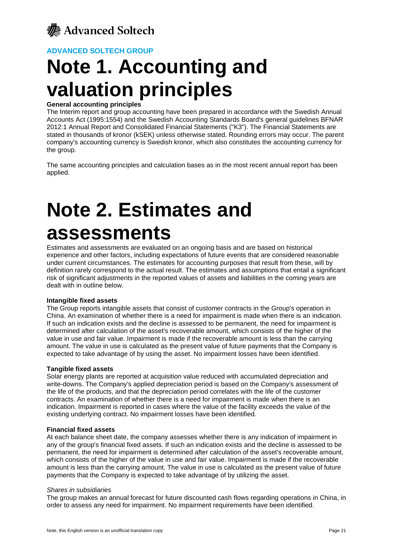

# **Note 1. Accounting and valuation principles**

### **General accounting principles**

The Interim report and group accounting have been prepared in accordance with the Swedish Annual Accounts Act (1995:1554) and the Swedish Accounting Standards Board's general guidelines BFNAR 2012:1 Annual Report and Consolidated Financial Statements ("K3"). The Financial Statements are stated in thousands of kronor (kSEK) unless otherwise stated. Rounding errors may occur. The parent company's accounting currency is Swedish kronor, which also constitutes the accounting currency for the group.

The same accounting principles and calculation bases as in the most recent annual report has been applied.

# **Note 2. Estimates and assessments**

Estimates and assessments are evaluated on an ongoing basis and are based on historical experience and other factors, including expectations of future events that are considered reasonable under current circumstances. The estimates for accounting purposes that result from these, will by definition rarely correspond to the actual result. The estimates and assumptions that entail a significant risk of significant adjustments in the reported values of assets and liabilities in the coming years are dealt with in outline below.

### **Intangible fixed assets**

The Group reports intangible assets that consist of customer contracts in the Group's operation in China. An examination of whether there is a need for impairment is made when there is an indication. If such an indication exists and the decline is assessed to be permanent, the need for impairment is determined after calculation of the asset's recoverable amount, which consists of the higher of the value in use and fair value. Impairment is made if the recoverable amount is less than the carrying amount. The value in use is calculated as the present value of future payments that the Company is expected to take advantage of by using the asset. No impairment losses have been identified.

### **Tangible fixed assets**

Solar energy plants are reported at acquisition value reduced with accumulated depreciation and write-downs. The Company's applied depreciation period is based on the Company's assessment of the life of the products, and that the depreciation period correlates with the life of the customer contracts. An examination of whether there is a need for impairment is made when there is an indication. Impairment is reported in cases where the value of the facility exceeds the value of the existing underlying contract. No impairment losses have been identified.

### **Financial fixed assets**

At each balance sheet date, the company assesses whether there is any indication of impairment in any of the group's financial fixed assets. If such an indication exists and the decline is assessed to be permanent, the need for impairment is determined after calculation of the asset's recoverable amount, which consists of the higher of the value in use and fair value. Impairment is made if the recoverable amount is less than the carrying amount. The value in use is calculated as the present value of future payments that the Company is expected to take advantage of by utilizing the asset.

### *Shares in subsidiaries*

The group makes an annual forecast for future discounted cash flows regarding operations in China, in order to assess any need for impairment. No impairment requirements have been identified.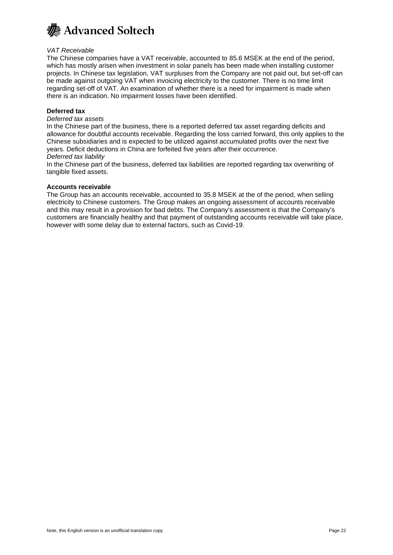

### *VAT Receivable*

The Chinese companies have a VAT receivable, accounted to 85.6 MSEK at the end of the period, which has mostly arisen when investment in solar panels has been made when installing customer projects. In Chinese tax legislation, VAT surpluses from the Company are not paid out, but set-off can be made against outgoing VAT when invoicing electricity to the customer. There is no time limit regarding set-off of VAT. An examination of whether there is a need for impairment is made when there is an indication. No impairment losses have been identified.

### **Deferred tax**

### *Deferred tax assets*

In the Chinese part of the business, there is a reported deferred tax asset regarding deficits and allowance for doubtful accounts receivable. Regarding the loss carried forward, this only applies to the Chinese subsidiaries and is expected to be utilized against accumulated profits over the next five years. Deficit deductions in China are forfeited five years after their occurrence. *Deferred tax liability*

### In the Chinese part of the business, deferred tax liabilities are reported regarding tax overwriting of tangible fixed assets.

### **Accounts receivable**

The Group has an accounts receivable, accounted to 35.8 MSEK at the of the period, when selling electricity to Chinese customers. The Group makes an ongoing assessment of accounts receivable and this may result in a provision for bad debts. The Company's assessment is that the Company's customers are financially healthy and that payment of outstanding accounts receivable will take place, however with some delay due to external factors, such as Covid-19.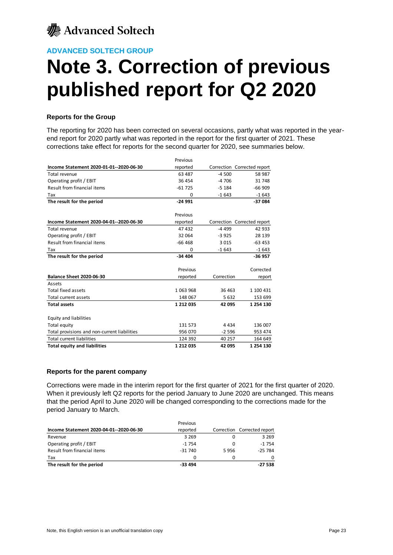

# **Note 3. Correction of previous published report for Q2 2020**

### **Reports for the Group**

The reporting for 2020 has been corrected on several occasions, partly what was reported in the yearend report for 2020 partly what was reported in the report for the first quarter of 2021. These corrections take effect for reports for the second quarter for 2020, see summaries below.

|                                              | Previous  |            |                             |
|----------------------------------------------|-----------|------------|-----------------------------|
| Income Statement 2020-01-01-2020-06-30       | reported  |            | Correction Corrected report |
| Total revenue                                | 63 487    | $-4500$    | 58 987                      |
| Operating profit / EBIT                      | 36 454    | $-4706$    | 31 748                      |
| Result from financial items                  | $-61725$  | $-5184$    | $-66909$                    |
| Tax                                          | 0         | $-1643$    | $-1643$                     |
| The result for the period                    | $-24991$  |            | $-37084$                    |
|                                              |           |            |                             |
|                                              | Previous  |            |                             |
| Income Statement 2020-04-01--2020-06-30      | reported  |            | Correction Corrected report |
| Total revenue                                | 47 432    | $-4499$    | 42 933                      |
| Operating profit / EBIT                      | 32 064    | $-3925$    | 28 139                      |
| Result from financial items                  | $-66468$  | 3 0 1 5    | $-63453$                    |
| Tax                                          | 0         | $-1643$    | $-1643$                     |
| The result for the period                    | $-34404$  |            | $-36957$                    |
|                                              | Previous  |            | Corrected                   |
| <b>Balance Sheet 2020-06-30</b>              | reported  | Correction | report                      |
| Assets                                       |           |            |                             |
| <b>Total fixed assets</b>                    | 1063968   | 36 463     | 1 100 431                   |
| Total current assets                         | 148 067   | 5 6 3 2    | 153 699                     |
| <b>Total assets</b>                          | 1 212 035 | 42 095     | 1 254 130                   |
| Equity and liabilities                       |           |            |                             |
| Total equity                                 | 131 573   | 4 4 3 4    | 136 007                     |
| Total provisions and non-current liabilities | 956 070   | $-2596$    | 953 474                     |
| <b>Total current liabilities</b>             | 124 392   | 40 257     | 164 649                     |
| <b>Total equity and liabilities</b>          | 1 212 035 | 42 095     | 1 254 130                   |

### **Reports for the parent company**

Corrections were made in the interim report for the first quarter of 2021 for the first quarter of 2020. When it previously left Q2 reports for the period January to June 2020 are unchanged. This means that the period April to June 2020 will be changed corresponding to the corrections made for the period January to March.

| The result for the period               | $-33494$ |      | $-27538$                    |
|-----------------------------------------|----------|------|-----------------------------|
| Tax                                     | 0        | o    |                             |
| Result from financial items             | $-31740$ | 5956 | $-25784$                    |
| Operating profit / EBIT                 | $-1754$  | O    | $-1754$                     |
| Revenue                                 | 3 2 6 9  |      | 3 2 6 9                     |
| Income Statement 2020-04-01--2020-06-30 | reported |      | Correction Corrected report |
|                                         | Previous |      |                             |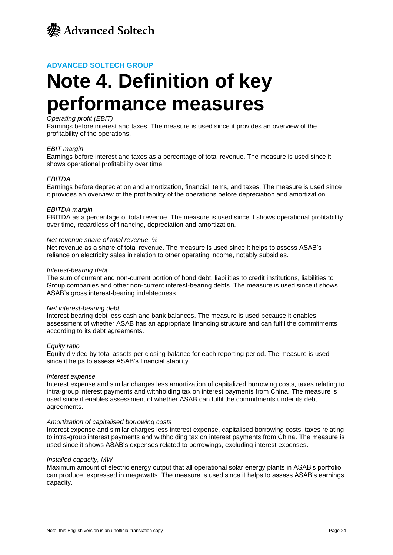

# **Note 4. Definition of key performance measures**

### *Operating profit (EBIT)*

Earnings before interest and taxes. The measure is used since it provides an overview of the profitability of the operations.

### *EBIT margin*

Earnings before interest and taxes as a percentage of total revenue. The measure is used since it shows operational profitability over time.

### *EBITDA*

Earnings before depreciation and amortization, financial items, and taxes. The measure is used since it provides an overview of the profitability of the operations before depreciation and amortization.

### *EBITDA margin*

EBITDA as a percentage of total revenue. The measure is used since it shows operational profitability over time, regardless of financing, depreciation and amortization.

#### *Net revenue share of total revenue, %*

Net revenue as a share of total revenue. The measure is used since it helps to assess ASAB's reliance on electricity sales in relation to other operating income, notably subsidies.

#### *Interest-bearing debt*

The sum of current and non-current portion of bond debt, liabilities to credit institutions, liabilities to Group companies and other non-current interest-bearing debts. The measure is used since it shows ASAB's gross interest-bearing indebtedness.

#### *Net interest-bearing debt*

Interest-bearing debt less cash and bank balances. The measure is used because it enables assessment of whether ASAB has an appropriate financing structure and can fulfil the commitments according to its debt agreements.

#### *Equity ratio*

Equity divided by total assets per closing balance for each reporting period. The measure is used since it helps to assess ASAB's financial stability.

#### *Interest expense*

Interest expense and similar charges less amortization of capitalized borrowing costs, taxes relating to intra-group interest payments and withholding tax on interest payments from China. The measure is used since it enables assessment of whether ASAB can fulfil the commitments under its debt agreements.

#### *Amortization of capitalised borrowing costs*

Interest expense and similar charges less interest expense, capitalised borrowing costs, taxes relating to intra-group interest payments and withholding tax on interest payments from China. The measure is used since it shows ASAB's expenses related to borrowings, excluding interest expenses.

#### *Installed capacity, MW*

Maximum amount of electric energy output that all operational solar energy plants in ASAB's portfolio can produce, expressed in megawatts. The measure is used since it helps to assess ASAB's earnings capacity.